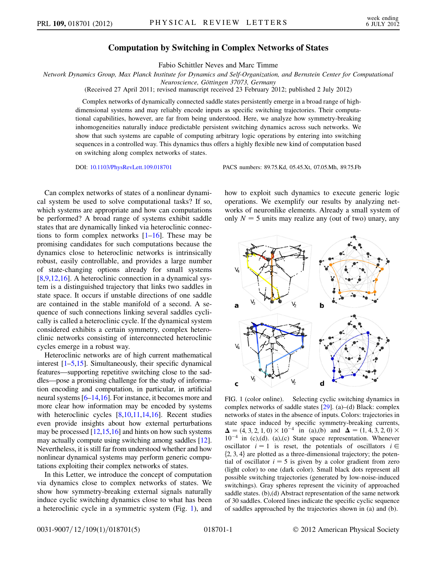## Computation by Switching in Complex Networks of States

Fabio Schittler Neves and Marc Timme

Network Dynamics Group, Max Planck Institute for Dynamics and Self-Organization, and Bernstein Center for Computational

Neuroscience, Göttingen 37073, Germany

(Received 27 April 2011; revised manuscript received 23 February 2012; published 2 July 2012)

Complex networks of dynamically connected saddle states persistently emerge in a broad range of highdimensional systems and may reliably encode inputs as specific switching trajectories. Their computational capabilities, however, are far from being understood. Here, we analyze how symmetry-breaking inhomogeneities naturally induce predictable persistent switching dynamics across such networks. We show that such systems are capable of computing arbitrary logic operations by entering into switching sequences in a controlled way. This dynamics thus offers a highly flexible new kind of computation based on switching along complex networks of states.

DOI: [10.1103/PhysRevLett.109.018701](http://dx.doi.org/10.1103/PhysRevLett.109.018701) PACS numbers: 89.75.Kd, 05.45.Xt, 07.05.Mh, 89.75.Fb

Can complex networks of states of a nonlinear dynamical system be used to solve computational tasks? If so, which systems are appropriate and how can computations be performed? A broad range of systems exhibit saddle states that are dynamically linked via heteroclinic connections to form complex networks  $[1-16]$  $[1-16]$ . These may be promising candidates for such computations because the dynamics close to heteroclinic networks is intrinsically robust, easily controllable, and provides a large number of state-changing options already for small systems [\[8,](#page-4-2)[9](#page-4-3)[,12,](#page-4-4)[16\]](#page-4-1). A heteroclinic connection in a dynamical system is a distinguished trajectory that links two saddles in state space. It occurs if unstable directions of one saddle are contained in the stable manifold of a second. A sequence of such connections linking several saddles cyclically is called a heteroclinic cycle. If the dynamical system considered exhibits a certain symmetry, complex heteroclinic networks consisting of interconnected heteroclinic cycles emerge in a robust way.

Heteroclinic networks are of high current mathematical interest [\[1](#page-4-0)[–5,](#page-4-5)[15](#page-4-6)]. Simultaneously, their specific dynamical features—supporting repetitive switching close to the saddles—pose a promising challenge for the study of information encoding and computation, in particular, in artificial neural systems [[6–](#page-4-7)[14](#page-4-8)[,16\]](#page-4-1). For instance, it becomes more and more clear how information may be encoded by systems with heteroclinic cycles [[8](#page-4-2)[,10,](#page-4-9)[11](#page-4-10)[,14](#page-4-8),[16\]](#page-4-1). Recent studies even provide insights about how external perturbations may be processed  $[12,15,16]$  $[12,15,16]$  $[12,15,16]$  $[12,15,16]$  and hints on how such systems may actually compute using switching among saddles [[12](#page-4-4)]. Nevertheless, it is still far from understood whether and how nonlinear dynamical systems may perform generic computations exploiting their complex networks of states.

In this Letter, we introduce the concept of computation via dynamics close to complex networks of states. We show how symmetry-breaking external signals naturally induce cyclic switching dynamics close to what has been a heteroclinic cycle in a symmetric system (Fig. [1\)](#page-0-0), and how to exploit such dynamics to execute generic logic operations. We exemplify our results by analyzing networks of neuronlike elements. Already a small system of only  $N = 5$  units may realize any (out of two) unary, any

<span id="page-0-0"></span>

<span id="page-0-1"></span>FIG. 1 (color online). Selecting cyclic switching dynamics in complex networks of saddle states [[29](#page-4-11)]. (a)–(d) Black: complex networks of states in the absence of inputs. Colors: trajectories in state space induced by specific symmetry-breaking currents,  $\Delta = (\hat{4}, 3, 2, 1, 0) \times 10^{-4}$  in (a),(b) and  $\Delta = (1, 4, 3, 2, 0) \times 10^{-4}$  in (c)(d) (a)(c) State space representation Whenever  $10^{-4}$  in (c),(d). (a),(c) State space representation. Whenever oscillator  $i = 1$  is reset, the potentials of oscillators  $i \in$  $\{2, 3, 4\}$  are plotted as a three-dimensional trajectory; the potential of oscillator  $i = 5$  is given by a color gradient from zero (light color) to one (dark color). Small black dots represent all possible switching trajectories (generated by low-noise-induced switchings). Gray spheres represent the vicinity of approached saddle states. (b),(d) Abstract representation of the same network of 30 saddles. Colored lines indicate the specific cyclic sequence of saddles approached by the trajectories shown in (a) and (b).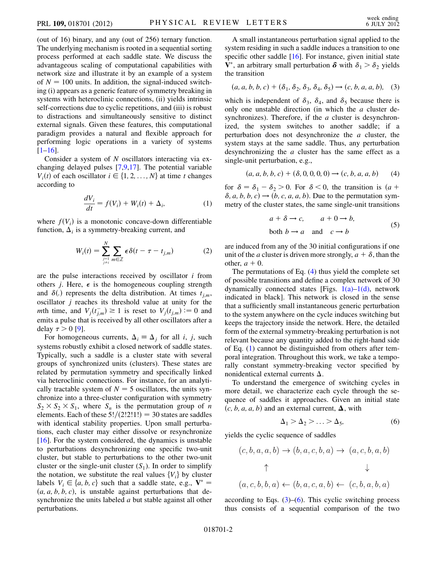(out of 16) binary, and any (out of 256) ternary function. The underlying mechanism is rooted in a sequential sorting process performed at each saddle state. We discuss the advantageous scaling of computational capabilities with network size and illustrate it by an example of a system of  $N = 100$  units. In addition, the signal-induced switching (i) appears as a generic feature of symmetry breaking in systems with heteroclinic connections, (ii) yields intrinsic self-corrections due to cyclic repetitions, and (iii) is robust to distractions and simultaneously sensitive to distinct external signals. Given these features, this computational paradigm provides a natural and flexible approach for performing logic operations in a variety of systems  $[1-16]$  $[1-16]$  $[1-16]$ .

<span id="page-1-1"></span>Consider a system of N oscillators interacting via exchanging delayed pulses [\[7,](#page-4-12)[9](#page-4-3)[,17](#page-4-13)]. The potential variable  $V_i(t)$  of each oscillator  $i \in \{1, 2, ..., N\}$  at time t changes according to

$$
\frac{dV_i}{dt} = f(V_i) + W_i(t) + \Delta_i,\tag{1}
$$

where  $f(V_i)$  is a monotonic concave-down differentiable function,  $\Delta_i$  is a symmetry-breaking current, and

$$
W_i(t) = \sum_{\substack{j=1\\j\neq i}}^N \sum_{m \in \mathbb{Z}} \epsilon \delta(t - \tau - t_{j,m})
$$
 (2)

are the pulse interactions received by oscillator  $i$  from others *j*. Here,  $\epsilon$  is the homogeneous coupling strength and  $\delta(.)$  represents the delta distribution. At times  $t_{j,m}$ ,<br>oscillator *i* reaches its threshold value at unity for the oscillator  $j$  reaches its threshold value at unity for the mth time, and  $V_j(t_{j,m}^-) \ge 1$  is reset to  $V_j(t_{j,m}) := 0$  and<br>emits a pulse that is received by all other oscillators ofter a emits a pulse that is received by all other oscillators after a delay  $\tau > 0$  [\[9](#page-4-3)].

For homogeneous currents,  $\Delta_i \equiv \Delta_j$  for all *i*, *j*, such systems robustly exhibit a closed network of saddle states. Typically, such a saddle is a cluster state with several groups of synchronized units (clusters). These states are related by permutation symmetry and specifically linked via heteroclinic connections. For instance, for an analytically tractable system of  $N = 5$  oscillators, the units synchronize into a three-cluster configuration with symmetry  $S_2 \times S_2 \times S_1$ , where  $S_n$  is the permutation group of *n* elements. Each of these  $5!/(2!2!1!) = 30$  states are saddles with identical stability properties. Upon small perturbations, each cluster may either dissolve or resynchronize [\[16\]](#page-4-1). For the system considered, the dynamics is unstable to perturbations desynchronizing one specific two-unit cluster, but stable to perturbations to the other two-unit cluster or the single-unit cluster  $(S_1)$ . In order to simplify the notation, we substitute the real values  ${V_i}$  by cluster labels  $V_i \in \{a, b, c\}$  such that a saddle state, e.g.,  $V^* =$  $(a, a, b, b, c)$ , is unstable against perturbations that desynchronize the units labeled a but stable against all other perturbations.

A small instantaneous perturbation signal applied to the system residing in such a saddle induces a transition to one specific other saddle  $[16]$  $[16]$  $[16]$ . For instance, given initial state  $\hat{\mathbf{V}}^*$ , an arbitrary small perturbation  $\delta$  with  $\delta_1 > \delta_2$  yields the transition

<span id="page-1-2"></span>
$$
(a, a, b, b, c) + (\delta_1, \delta_2, \delta_3, \delta_4, \delta_5) \to (c, b, a, a, b), (3)
$$

which is independent of  $\delta_3$ ,  $\delta_4$ , and  $\delta_5$  because there is only one unstable direction (in which the  $a$  cluster desynchronizes). Therefore, if the  $a$  cluster is desynchronized, the system switches to another saddle; if a perturbation does not desynchronize the  $a$  cluster, the system stays at the same saddle. Thus, any perturbation desynchronizing the a cluster has the same effect as a single-unit perturbation, e.g.,

<span id="page-1-0"></span> $(a, a, b, b, c) + (\delta, 0, 0, 0, 0) \rightarrow (c, b, a, a, b)$  (4)

<span id="page-1-5"></span>for  $\delta = \delta_1 - \delta_2 > 0$ . For  $\delta < 0$ , the transition is  $(a + \delta a b b c) \rightarrow (b c a a b)$  Due to the permutation sym $a_1$  -  $b_2$  - 0. For  $b > 0$ , the transition is  $(a + \delta, a, b, b, c) \rightarrow (b, c, a, a, b)$ . Due to the permutation sym-<br>metry of the cluster states the same single-unit transitions metry of the cluster states, the same single-unit transitions

$$
a + \delta \to c, \qquad a + 0 \to b,
$$
  
both  $b \to a$  and  $c \to b$  (5)

are induced from any of the 30 initial configurations if one unit of the *a* cluster is driven more strongly,  $a + \delta$ , than the other  $a + 0$ other,  $a + 0$ .

The permutations of Eq. ([4](#page-1-0)) thus yield the complete set of possible transitions and define a complex network of 30 dynamically connected states [Figs.  $1(a)-1(d)$ , network indicated in black]. This network is closed in the sense that a sufficiently small instantaneous generic perturbation to the system anywhere on the cycle induces switching but keeps the trajectory inside the network. Here, the detailed form of the external symmetry-breaking perturbation is not relevant because any quantity added to the right-hand side of Eq. [\(1\)](#page-1-1) cannot be distinguished from others after temporal integration. Throughout this work, we take a temporally constant symmetry-breaking vector specified by nonidentical external currents  $\Delta$ .

To understand the emergence of switching cycles in more detail, we characterize each cycle through the sequence of saddles it approaches. Given an initial state  $(c, b, a, a, b)$  and an external current,  $\Delta$ , with

$$
\Delta_1 > \Delta_2 > \ldots > \Delta_5, \tag{6}
$$

<span id="page-1-4"></span><span id="page-1-3"></span>yields the cyclic sequence of saddles

$$
(c, b, a, a, b) \rightarrow (b, a, c, b, a) \rightarrow (a, c, b, a, b)
$$
  
\n
$$
\uparrow \qquad \qquad \downarrow
$$
  
\n
$$
(a, c, b, b, a) \leftarrow (b, a, c, a, b) \leftarrow (c, b, a, b, a)
$$

according to Eqs.  $(3)$  $(3)$  $(3)$ – $(6)$  $(6)$ . This cyclic switching process thus consists of a sequential comparison of the two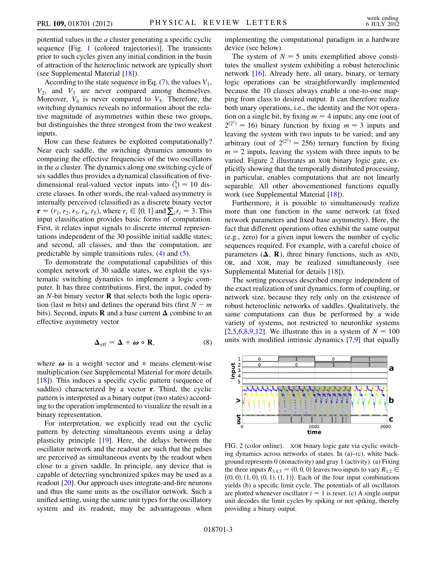potential values in the a cluster generating a specific cyclic sequence [Fig. [1](#page-0-0) (colored trajectories)]. The transients prior to such cycles given any initial condition in the basin of attraction of the heteroclinic network are typically short (see Supplemental Material [[18](#page-4-14)]).

According to the state sequence in Eq.  $(7)$  $(7)$ , the values  $V_1$ ,  $V_2$ , and  $V_3$  are never compared among themselves. Moreover,  $V_4$  is never compared to  $V_5$ . Therefore, the switching dynamics reveals no information about the relative magnitude of asymmetries within these two groups, but distinguishes the three strongest from the two weakest inputs.

How can these features be exploited computationally? Near each saddle, the switching dynamics amounts to comparing the effective frequencies of the two oscillators in the a cluster. The dynamics along one switching cycle of six saddles thus provides a dynamical classification of fivedimensional real-valued vector inputs into  $\binom{5}{3} = 10$  discrete classes. In other words, the real-valued asymmetry is crete classes. In other words, the real-valued asymmetry is internally perceived (classified) as a discrete binary vector  $\mathbf{r} = (r_1, r_2, r_3, r_4, r_5)$ , where  $r_i \in \{0, 1\}$  and  $\sum_i r_i = 3$ . This input classification provides basic forms of computation. First, it relates input signals to discrete internal representations independent of the 30 possible initial saddle states; and second, all classes, and thus the computation, are predictable by simple transitions rules, [\(4\)](#page-1-0) and ([5](#page-1-5)).

To demonstrate the computational capabilities of this complex network of 30 saddle states, we exploit the systematic switching dynamics to implement a logic computer. It has three contributions. First, the input, coded by an  $N$ -bit binary vector  **that selects both the logic opera**tion (last *m* bits) and defines the operand bits (first  $N - m$ <br>bits) Second inputs **R** and a base current **A** combine to an bits). Second, inputs **R** and a base current  $\Delta$  combine to an effective asymmetry vector

$$
\Delta_{\text{eff}} = \Delta + \omega \circ \mathbf{R}, \tag{8}
$$

where  $\omega$  is a weight vector and  $\circ$  means element-wise multiplication (see Supplemental Material for more details [\[18\]](#page-4-14)). This induces a specific cyclic pattern (sequence of saddles) characterized by a vector **r**. Third, the cyclic pattern is interpreted as a binary output (two states) according to the operation implemented to visualize the result in a binary representation.

For interpretation, we explicitly read out the cyclic pattern by detecting simultaneous events using a delay plasticity principle [\[19\]](#page-4-15). Here, the delays between the oscillator network and the readout are such that the pulses are perceived as simultaneous events by the readout when close to a given saddle. In principle, any device that is capable of detecting synchronized spikes may be used as a readout [\[20\]](#page-4-16). Our approach uses integrate-and-fire neurons and thus the same units as the oscillator network. Such a unified setting, using the same unit types for the oscillatory system and its readout, may be advantageous when implementing the computational paradigm in a hardware device (see below).

The system of  $N = 5$  units exemplified above constitutes the smallest system exhibiting a robust heteroclinic network [[16](#page-4-1)]. Already here, all unary, binary, or ternary logic operations can be straightforwardly implemented because the 10 classes always enable a one-to-one mapping from class to desired output. It can therefore realize both unary operations, i.e., the identity and the NOT operation on a single bit, by fixing  $m = 4$  inputs; any one (out of  $2^{(2^2)} = 16$ ) binary function by fixing  $m = 3$  inputs and leaving the system with two inputs to be varied; and any arbitrary (out of  $2^{(2^3)} = 256$ ) ternary function by fixing  $m = 2$  inputs, leaving the system with three inputs to be varied. Figure [2](#page-2-0) illustrates an XOR binary logic gate, explicitly showing that the temporally distributed processing, in particular, enables computations that are not linearly separable. All other abovementioned functions equally work (see Supplemental Material [\[18\]](#page-4-14)).

Furthermore, it is possible to simultaneously realize more than one function in the same network (at fixed network parameters and fixed base asymmetry). Here, the fact that different operations often exhibit the same output (e.g., zero) for a given input lowers the number of cyclic sequences required. For example, with a careful choice of parameters  $(**A**, **R**)$ , three binary functions, such as AND, OR, and XOR, may be realized simultaneously (see Supplemental Material for details [[18\]](#page-4-14)).

The sorting processes described emerge independent of the exact realization of unit dynamics, form of coupling, or network size, because they rely only on the existence of robust heteroclinic networks of saddles. Qualitatively, the same computations can thus be performed by a wide variety of systems, not restricted to neuronlike systems [\[2,](#page-4-17)[5](#page-4-5)[,6](#page-4-7),[8](#page-4-2),[9](#page-4-3),[12](#page-4-4)]. We illustrate this in a system of  $N = 100$ units with modified intrinsic dynamics [[7](#page-4-12),[9\]](#page-4-3) that equally

<span id="page-2-0"></span>

FIG. 2 (color online). XOR binary logic gate via cyclic switching dynamics across networks of states. In (a)–(c), white background represents 0 (nonactivity) and gray 1 (activity). (a) Fixing the three inputs  $R_{3,4,5} = (0, 0, 0)$  leaves two inputs to vary  $R_{1,2} \in$  $\{(0, 0), (1, 0), (0, 1), (1, 1)\}.$  Each of the four input combinations yields (b) a specific limit cycle. The potentials of all oscillators are plotted whenever oscillator  $i = 1$  is reset. (c) A single output unit decodes the limit cycles by spiking or not spiking, thereby providing a binary output.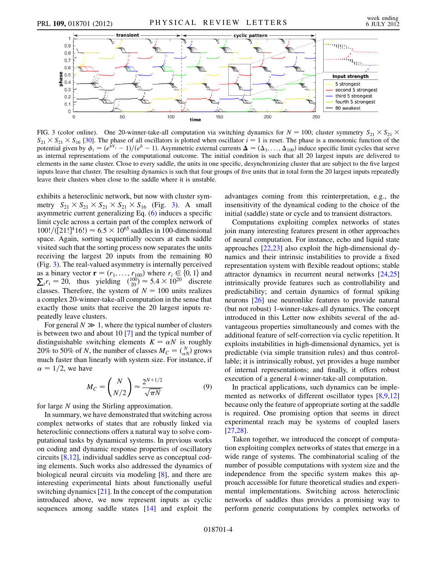<span id="page-3-0"></span>

FIG. 3 (color online). One 20-winner-take-all computation via switching dynamics for  $N = 100$ ; cluster symmetry  $S_{21} \times S_{21} \times S_{22}$  $S_{21} \times S_{21} \times S_{16}$  [\[30\]](#page-4-26). The phase of all oscillators is plotted when oscillator  $i = 1$  is reset. The phase is a monotonic function of the potential given by  $\phi_i = (e^{\hat{b}V_i} - 1)/(e^b - 1)$ . Asymmetric external currents  $\Delta = (\Delta_1, ..., \Delta_{100})$  induce specific limit cycles that serve as internal representations of the computational outcome. The initial condition is such that all 20 largest inputs are delivered to elements in the same cluster. Close to every saddle, the units in one specific, desynchronizing cluster that are subject to the five largest inputs leave that cluster. The resulting dynamics is such that four groups of five units that in total form the 20 largest inputs repeatedly leave their clusters when close to the saddle where it is unstable.

exhibits a heteroclinic network, but now with cluster symmetry  $S_{21} \times S_{21} \times S_{21} \times S_{21} \times S_{16}$  (Fig. [3\)](#page-3-0). A small asymmetric current generalizing Eq. [\(6\)](#page-1-3) induces a specific limit cycle across a certain part of the complex network of  $100! / (21!)^4 16!) \approx 6.5 \times 10^{65}$  saddles in 100-dimensional space. Again, sorting sequentially occurs at each saddle space. Again, sorting sequentially occurs at each saddle visited such that the sorting process now separates the units receiving the largest 20 inputs from the remaining 80 (Fig. [3](#page-3-0)). The real-valued asymmetry is internally perceived as a binary vector  $\mathbf{r} = (r_1, ..., r_{100})$  where  $r_i \in \{0, 1\}$  and  $\sum_i r_i = 20$ , thus yielding  $\binom{100}{20} \approx 5.4 \times 10^{20}$  discrete classes. Therefore, the system of  $N = 100$  units realizes classes. Therefore, the system of  $N = 100$  units realizes a complex 20-winner-take-all computation in the sense that exactly those units that receive the 20 largest inputs repeatedly leave clusters.

For general  $N \gg 1$ , where the typical number of clusters is between two and about 10 [[7](#page-4-12)] and the typical number of distinguishable switching elements  $K = \alpha N$  is roughly 20% to 50% of N, the number of classes  $M_C = \binom{N}{\alpha N}$  grows<br>much faster than linearly with system size. For instance, if much faster than linearly with system size. For instance, if  $\alpha = 1/2$ , we have

$$
M_C = \binom{N}{N/2} \approx \frac{2^{N+1/2}}{\sqrt{\pi N}}\tag{9}
$$

for large N using the Stirling approximation.

In summary, we have demonstrated that switching across complex networks of states that are robustly linked via heteroclinic connections offers a natural way to solve computational tasks by dynamical systems. In previous works on coding and dynamic response properties of oscillatory circuits [[8](#page-4-2),[12](#page-4-4)], individual saddles serve as conceptual coding elements. Such works also addressed the dynamics of biological neural circuits via modeling [[8\]](#page-4-2), and there are interesting experimental hints about functionally useful switching dynamics [\[21\]](#page-4-18). In the concept of the computation introduced above, we now represent inputs as cyclic sequences among saddle states [[14](#page-4-8)] and exploit the advantages coming from this reinterpretation, e.g., the insensitivity of the dynamical coding to the choice of the initial (saddle) state or cycle and to transient distractors.

Computations exploiting complex networks of states join many interesting features present in other approaches of neural computation. For instance, echo and liquid state approaches [\[22,](#page-4-19)[23\]](#page-4-20) also exploit the high-dimensional dynamics and their intrinsic instabilities to provide a fixed representation system with flexible readout options; stable attractor dynamics in recurrent neural networks [\[24,](#page-4-21)[25\]](#page-4-22) intrinsically provide features such as controllability and predictability; and certain dynamics of formal spiking neurons [\[26\]](#page-4-23) use neuronlike features to provide natural (but not robust) 1-winner-takes-all dynamics. The concept introduced in this Letter now exhibits several of the advantageous properties simultaneously and comes with the additional feature of self-correction via cyclic repetition. It exploits instabilities in high-dimensional dynamics, yet is predictable (via simple transition rules) and thus controllable; it is intrinsically robust, yet provides a huge number of internal representations; and finally, it offers robust execution of a general k-winner-take-all computation.

In practical applications, such dynamics can be implemented as networks of different oscillator types [\[8,](#page-4-2)[9,](#page-4-3)[12\]](#page-4-4) because only the feature of appropriate sorting at the saddle is required. One promising option that seems in direct experimental reach may be systems of coupled lasers [\[27](#page-4-24)[,28\]](#page-4-25).

Taken together, we introduced the concept of computation exploiting complex networks of states that emerge in a wide range of systems. The combinatorial scaling of the number of possible computations with system size and the independence from the specific system makes this approach accessible for future theoretical studies and experimental implementations. Switching across heteroclinic networks of saddles thus provides a promising way to perform generic computations by complex networks of